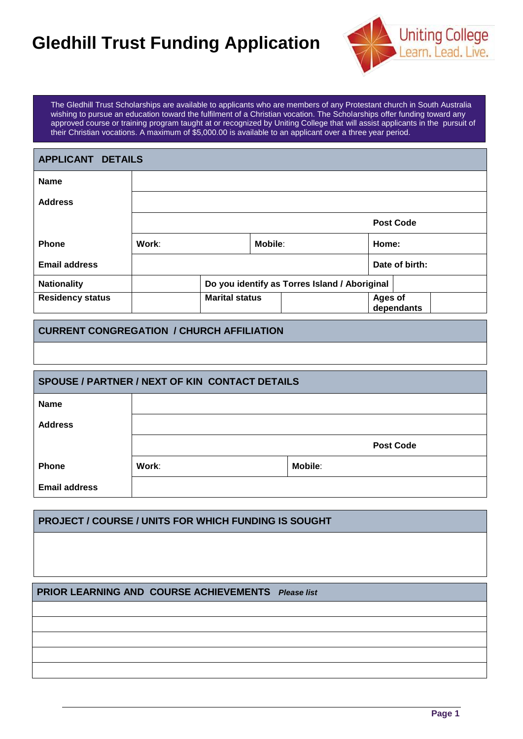# **Gledhill Trust Funding Application**



The Gledhill Trust Scholarships are available to applicants who are members of any Protestant church in South Australia wishing to pursue an education toward the fulfilment of a Christian vocation. The Scholarships offer funding toward any approved course or training program taught at or recognized by Uniting College that will assist applicants in the pursuit of their Christian vocations. A maximum of \$5,000.00 is available to an applicant over a three year period.

| <b>APPLICANT DETAILS</b> |       |                       |                |                                               |                       |  |
|--------------------------|-------|-----------------------|----------------|-----------------------------------------------|-----------------------|--|
| <b>Name</b>              |       |                       |                |                                               |                       |  |
| <b>Address</b>           |       |                       |                |                                               |                       |  |
|                          |       |                       |                |                                               | <b>Post Code</b>      |  |
| <b>Phone</b>             | Work: |                       | <b>Mobile:</b> |                                               | Home:                 |  |
| <b>Email address</b>     |       |                       |                |                                               | Date of birth:        |  |
| <b>Nationality</b>       |       |                       |                | Do you identify as Torres Island / Aboriginal |                       |  |
| <b>Residency status</b>  |       | <b>Marital status</b> |                |                                               | Ages of<br>dependants |  |

### **CURRENT CONGREGATION / CHURCH AFFILIATION**

| SPOUSE / PARTNER / NEXT OF KIN CONTACT DETAILS |       |                  |  |  |
|------------------------------------------------|-------|------------------|--|--|
| <b>Name</b>                                    |       |                  |  |  |
| <b>Address</b>                                 |       |                  |  |  |
|                                                |       | <b>Post Code</b> |  |  |
| <b>Phone</b>                                   | Work: | <b>Mobile:</b>   |  |  |
| <b>Email address</b>                           |       |                  |  |  |

# **PROJECT / COURSE / UNITS FOR WHICH FUNDING IS SOUGHT**

### **PRIOR LEARNING AND COURSE ACHIEVEMENTS** *Please list*